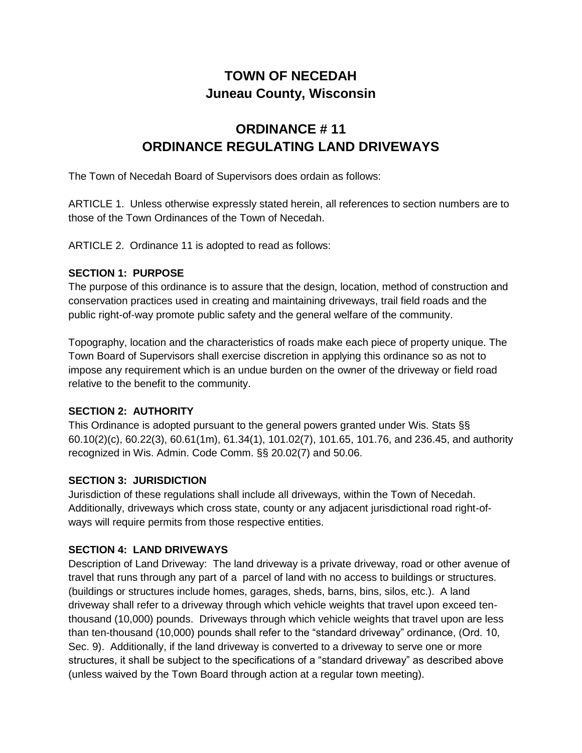## **TOWN OF NECEDAH Juneau County, Wisconsin**

# **ORDINANCE # 11 ORDINANCE REGULATING LAND DRIVEWAYS**

The Town of Necedah Board of Supervisors does ordain as follows:

ARTICLE 1. Unless otherwise expressly stated herein, all references to section numbers are to those of the Town Ordinances of the Town of Necedah.

ARTICLE 2. Ordinance 11 is adopted to read as follows:

#### **SECTION 1: PURPOSE**

The purpose of this ordinance is to assure that the design, location, method of construction and conservation practices used in creating and maintaining driveways, trail field roads and the public right-of-way promote public safety and the general welfare of the community.

Topography, location and the characteristics of roads make each piece of property unique. The Town Board of Supervisors shall exercise discretion in applying this ordinance so as not to impose any requirement which is an undue burden on the owner of the driveway or field road relative to the benefit to the community.

## **SECTION 2: AUTHORITY**

This Ordinance is adopted pursuant to the general powers granted under Wis. Stats §§ 60.10(2)(c), 60.22(3), 60.61(1m), 61.34(1), 101.02(7), 101.65, 101.76, and 236.45, and authority recognized in Wis. Admin. Code Comm. §§ 20.02(7) and 50.06.

## **SECTION 3: JURISDICTION**

Jurisdiction of these regulations shall include all driveways, within the Town of Necedah. Additionally, driveways which cross state, county or any adjacent jurisdictional road right-ofways will require permits from those respective entities.

## **SECTION 4: LAND DRIVEWAYS**

Description of Land Driveway: The land driveway is a private driveway, road or other avenue of travel that runs through any part of a parcel of land with no access to buildings or structures. (buildings or structures include homes, garages, sheds, barns, bins, silos, etc.). A land driveway shall refer to a driveway through which vehicle weights that travel upon exceed tenthousand (10,000) pounds. Driveways through which vehicle weights that travel upon are less than ten-thousand (10,000) pounds shall refer to the "standard driveway" ordinance, (Ord. 10, Sec. 9). Additionally, if the land driveway is converted to a driveway to serve one or more structures, it shall be subject to the specifications of a "standard driveway" as described above (unless waived by the Town Board through action at a regular town meeting).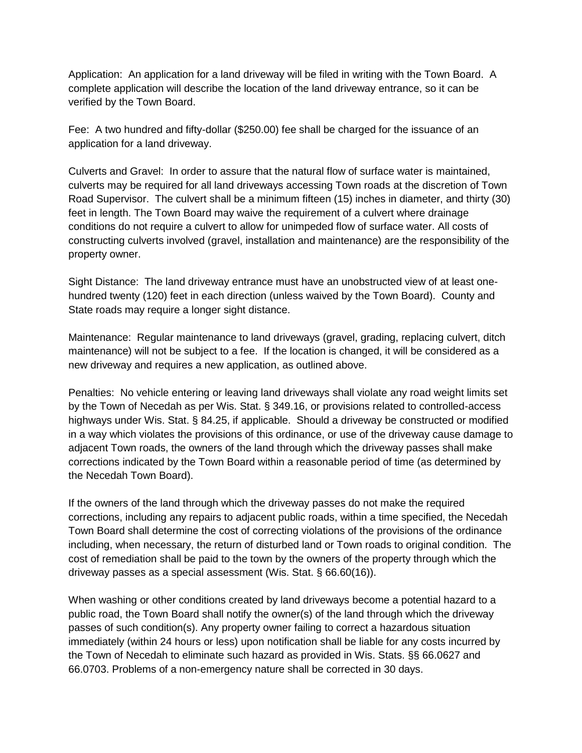Application: An application for a land driveway will be filed in writing with the Town Board. A complete application will describe the location of the land driveway entrance, so it can be verified by the Town Board.

Fee: A two hundred and fifty-dollar (\$250.00) fee shall be charged for the issuance of an application for a land driveway.

Culverts and Gravel: In order to assure that the natural flow of surface water is maintained, culverts may be required for all land driveways accessing Town roads at the discretion of Town Road Supervisor. The culvert shall be a minimum fifteen (15) inches in diameter, and thirty (30) feet in length. The Town Board may waive the requirement of a culvert where drainage conditions do not require a culvert to allow for unimpeded flow of surface water. All costs of constructing culverts involved (gravel, installation and maintenance) are the responsibility of the property owner.

Sight Distance: The land driveway entrance must have an unobstructed view of at least onehundred twenty (120) feet in each direction (unless waived by the Town Board). County and State roads may require a longer sight distance.

Maintenance: Regular maintenance to land driveways (gravel, grading, replacing culvert, ditch maintenance) will not be subject to a fee. If the location is changed, it will be considered as a new driveway and requires a new application, as outlined above.

Penalties: No vehicle entering or leaving land driveways shall violate any road weight limits set by the Town of Necedah as per Wis. Stat. § 349.16, or provisions related to controlled-access highways under Wis. Stat. § 84.25, if applicable. Should a driveway be constructed or modified in a way which violates the provisions of this ordinance, or use of the driveway cause damage to adjacent Town roads, the owners of the land through which the driveway passes shall make corrections indicated by the Town Board within a reasonable period of time (as determined by the Necedah Town Board).

If the owners of the land through which the driveway passes do not make the required corrections, including any repairs to adjacent public roads, within a time specified, the Necedah Town Board shall determine the cost of correcting violations of the provisions of the ordinance including, when necessary, the return of disturbed land or Town roads to original condition. The cost of remediation shall be paid to the town by the owners of the property through which the driveway passes as a special assessment (Wis. Stat. § 66.60(16)).

When washing or other conditions created by land driveways become a potential hazard to a public road, the Town Board shall notify the owner(s) of the land through which the driveway passes of such condition(s). Any property owner failing to correct a hazardous situation immediately (within 24 hours or less) upon notification shall be liable for any costs incurred by the Town of Necedah to eliminate such hazard as provided in Wis. Stats. §§ 66.0627 and 66.0703. Problems of a non-emergency nature shall be corrected in 30 days.